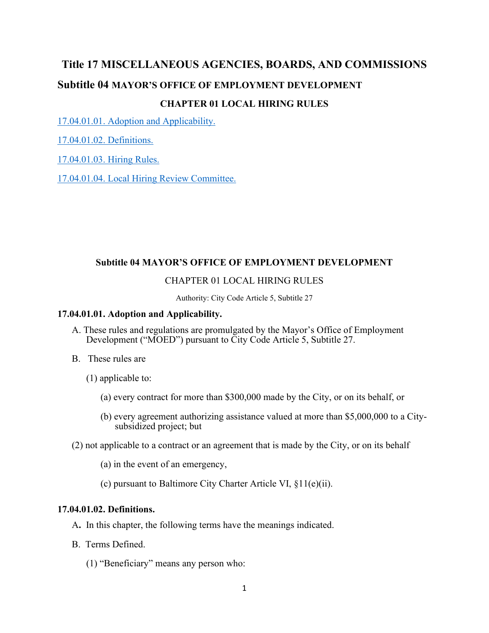# **Title 17 MISCELLANEOUS AGENCIES, BOARDS, AND COMMISSIONS Subtitle 04 MAYOR'S OFFICE OF EMPLOYMENT DEVELOPMENT CHAPTER 01 LOCAL HIRING RULES**

17.04.01.01. Adoption and Applicability.

17.04.01.02. Definitions.

17.04.01.03. Hiring Rules.

17.04.01.04. Local Hiring Review Committee.

## **Subtitle 04 MAYOR'S OFFICE OF EMPLOYMENT DEVELOPMENT**

# CHAPTER 01 LOCAL HIRING RULES

Authority: City Code Article 5, Subtitle 27

#### **17.04.01.01. Adoption and Applicability.**

- A. These rules and regulations are promulgated by the Mayor's Office of Employment Development ("MOED") pursuant to City Code Article 5, Subtitle 27.
- B. These rules are
	- (1) applicable to:
		- (a) every contract for more than \$300,000 made by the City, or on its behalf, or
		- (b) every agreement authorizing assistance valued at more than \$5,000,000 to a Citysubsidized project; but
- (2) not applicable to a contract or an agreement that is made by the City, or on its behalf
	- (a) in the event of an emergency,
	- (c) pursuant to Baltimore City Charter Article VI, §11(e)(ii).

## **17.04.01.02. Definitions.**

- A**.** In this chapter, the following terms have the meanings indicated.
- B. Terms Defined.
	- (1) "Beneficiary" means any person who: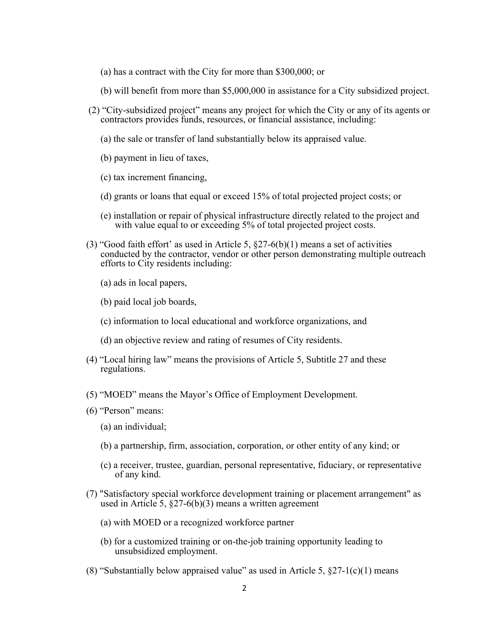- (a) has a contract with the City for more than \$300,000; or
- (b) will benefit from more than \$5,000,000 in assistance for a City subsidized project.
- (2) "City-subsidized project" means any project for which the City or any of its agents or contractors provides funds, resources, or financial assistance, including:
	- (a) the sale or transfer of land substantially below its appraised value.
	- (b) payment in lieu of taxes,
	- (c) tax increment financing,
	- (d) grants or loans that equal or exceed 15% of total projected project costs; or
	- (e) installation or repair of physical infrastructure directly related to the project and with value equal to or exceeding 5% of total projected project costs.
- (3) "Good faith effort' as used in Article 5,  $\S27-6(b)(1)$  means a set of activities conducted by the contractor, vendor or other person demonstrating multiple outreach efforts to City residents including:
	- (a) ads in local papers,
	- (b) paid local job boards,
	- (c) information to local educational and workforce organizations, and
	- (d) an objective review and rating of resumes of City residents.
- (4) "Local hiring law" means the provisions of Article 5, Subtitle 27 and these regulations.
- (5) "MOED" means the Mayor's Office of Employment Development.
- (6) "Person" means:
	- (a) an individual;
	- (b) a partnership, firm, association, corporation, or other entity of any kind; or
	- (c) a receiver, trustee, guardian, personal representative, fiduciary, or representative of any kind.
- (7) "Satisfactory special workforce development training or placement arrangement" as used in Article 5,  $\S27-6(b)(3)$  means a written agreement
	- (a) with MOED or a recognized workforce partner
	- (b) for a customized training or on-the-job training opportunity leading to unsubsidized employment.
- (8) "Substantially below appraised value" as used in Article 5,  $\S27-1(c)(1)$  means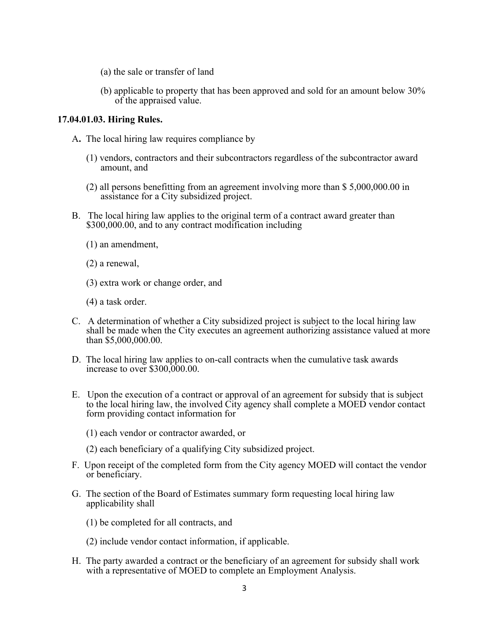- (a) the sale or transfer of land
- (b) applicable to property that has been approved and sold for an amount below 30% of the appraised value.

#### **17.04.01.03. Hiring Rules.**

- A**.** The local hiring law requires compliance by
	- (1) vendors, contractors and their subcontractors regardless of the subcontractor award amount, and
	- (2) all persons benefitting from an agreement involving more than \$ 5,000,000.00 in assistance for a City subsidized project.
- B. The local hiring law applies to the original term of a contract award greater than \$300,000.00, and to any contract modification including
	- (1) an amendment,
	- (2) a renewal,
	- (3) extra work or change order, and
	- (4) a task order.
- C. A determination of whether a City subsidized project is subject to the local hiring law shall be made when the City executes an agreement authorizing assistance valued at more than \$5,000,000.00.
- D. The local hiring law applies to on-call contracts when the cumulative task awards increase to over \$300,000.00.
- E. Upon the execution of a contract or approval of an agreement for subsidy that is subject to the local hiring law, the involved City agency shall complete a MOED vendor contact form providing contact information for
	- (1) each vendor or contractor awarded, or
	- (2) each beneficiary of a qualifying City subsidized project.
- F. Upon receipt of the completed form from the City agency MOED will contact the vendor or beneficiary.
- G. The section of the Board of Estimates summary form requesting local hiring law applicability shall
	- (1) be completed for all contracts, and
	- (2) include vendor contact information, if applicable.
- H. The party awarded a contract or the beneficiary of an agreement for subsidy shall work with a representative of MOED to complete an Employment Analysis.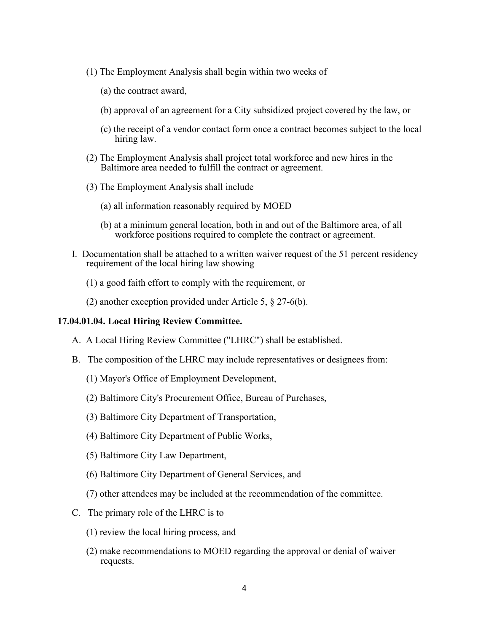- (1) The Employment Analysis shall begin within two weeks of
	- (a) the contract award,
	- (b) approval of an agreement for a City subsidized project covered by the law, or
	- (c) the receipt of a vendor contact form once a contract becomes subject to the local hiring law.
- (2) The Employment Analysis shall project total workforce and new hires in the Baltimore area needed to fulfill the contract or agreement.
- (3) The Employment Analysis shall include
	- (a) all information reasonably required by MOED
	- (b) at a minimum general location, both in and out of the Baltimore area, of all workforce positions required to complete the contract or agreement.
- I. Documentation shall be attached to a written waiver request of the 51 percent residency requirement of the local hiring law showing
	- (1) a good faith effort to comply with the requirement, or
	- (2) another exception provided under Article 5, § 27-6(b).

#### **17.04.01.04. Local Hiring Review Committee.**

- A. A Local Hiring Review Committee ("LHRC") shall be established.
- B. The composition of the LHRC may include representatives or designees from:
	- (1) Mayor's Office of Employment Development,
	- (2) Baltimore City's Procurement Office, Bureau of Purchases,
	- (3) Baltimore City Department of Transportation,
	- (4) Baltimore City Department of Public Works,
	- (5) Baltimore City Law Department,
	- (6) Baltimore City Department of General Services, and
	- (7) other attendees may be included at the recommendation of the committee.
- C. The primary role of the LHRC is to
	- (1) review the local hiring process, and
	- (2) make recommendations to MOED regarding the approval or denial of waiver requests.